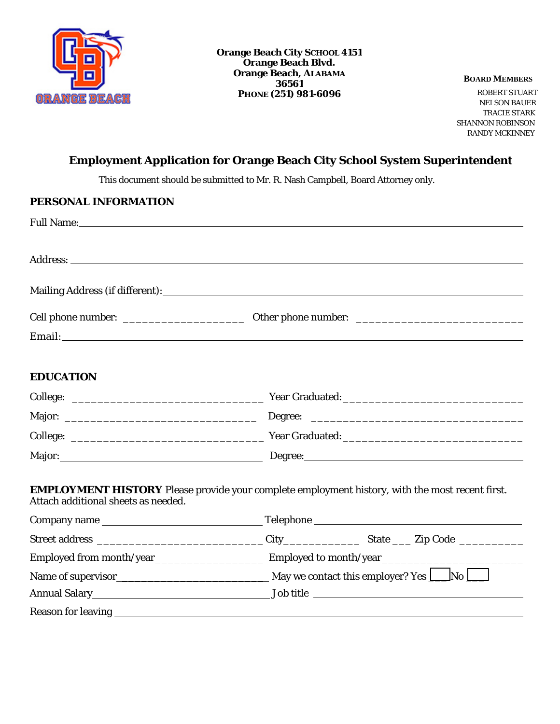

 NELSON BAUER TRACIE STARK SHANNON ROBINSON RANDY MCKINNEY

# **Employment Application for Orange Beach City School System Superintendent**

This document should be submitted to Mr. R. Nash Campbell, Board Attorney only.

| PERSONAL INFORMATION                |                                                                                                                                                                                                                                |
|-------------------------------------|--------------------------------------------------------------------------------------------------------------------------------------------------------------------------------------------------------------------------------|
|                                     | Full Name: 1988 and 2008 and 2008 and 2008 and 2008 and 2008 and 2008 and 2008 and 2008 and 2008 and 2008 and 2008 and 2008 and 2008 and 2008 and 2008 and 2008 and 2008 and 2008 and 2008 and 2008 and 2008 and 2008 and 2008 |
|                                     |                                                                                                                                                                                                                                |
|                                     |                                                                                                                                                                                                                                |
|                                     |                                                                                                                                                                                                                                |
|                                     |                                                                                                                                                                                                                                |
|                                     |                                                                                                                                                                                                                                |
| <b>EDUCATION</b>                    |                                                                                                                                                                                                                                |
|                                     |                                                                                                                                                                                                                                |
|                                     |                                                                                                                                                                                                                                |
|                                     |                                                                                                                                                                                                                                |
|                                     |                                                                                                                                                                                                                                |
| Attach additional sheets as needed. | <b>EMPLOYMENT HISTORY</b> Please provide your complete employment history, with the most recent first.                                                                                                                         |

| Company name |                                                    |  |  |
|--------------|----------------------------------------------------|--|--|
|              |                                                    |  |  |
|              |                                                    |  |  |
|              | May we contact this employer? Yes $\Box$ No $\Box$ |  |  |
|              | Job title                                          |  |  |
|              |                                                    |  |  |
|              |                                                    |  |  |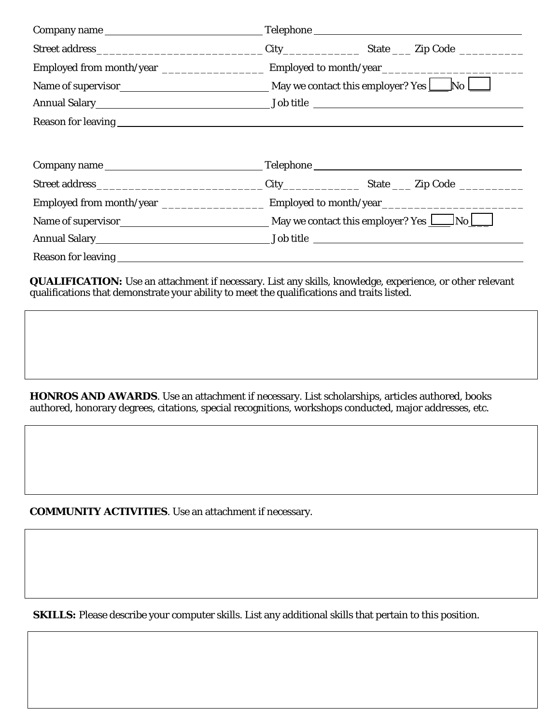| Company name |                                                    |  |  |
|--------------|----------------------------------------------------|--|--|
|              |                                                    |  |  |
|              |                                                    |  |  |
|              |                                                    |  |  |
|              |                                                    |  |  |
|              |                                                    |  |  |
|              |                                                    |  |  |
|              | Telephone https://www.assett.com/community/second- |  |  |
|              |                                                    |  |  |
|              |                                                    |  |  |
|              |                                                    |  |  |
|              |                                                    |  |  |
|              |                                                    |  |  |

**QUALIFICATION:** Use an attachment if necessary. List any skills, knowledge, experience, or other relevant qualifications that demonstrate your ability to meet the qualifications and traits listed.

HONROS AND AWARDS. Use an attachment if necessary. List scholarships, articles authored, books authored, honorary degrees, citations, special recognitions, workshops conducted, major addresses, etc.

**COMMUNITY ACTIVITIES**. Use an attachment if necessary.

**SKILLS:** Please describe your computer skills. List any additional skills that pertain to this position.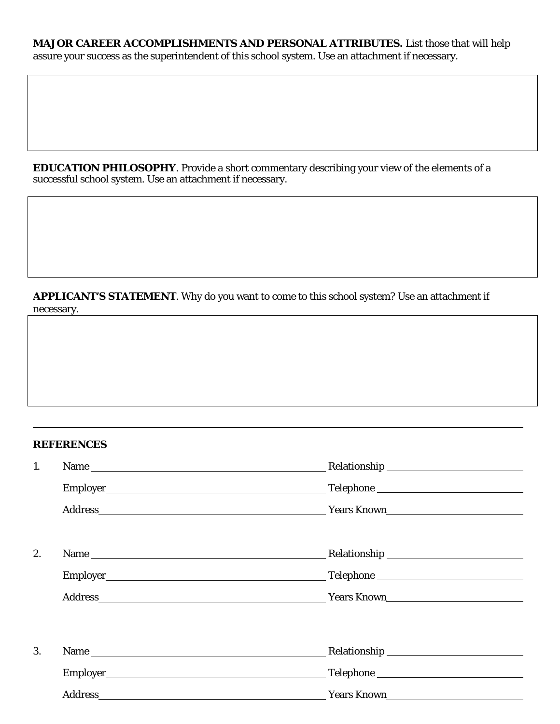# MAJOR CAREER ACCOMPLISHMENTS AND PERSONAL ATTRIBUTES. List those that will help assure your success as the superintendent of this school system. Use an attachment if necessary.

**EDUCATION PHILOSOPHY**. Provide a short commentary describing your view of the elements of a successful school system. Use an attachment if necessary.

# APPLICANT'S STATEMENT. Why do you want to come to this school system? Use an attachment if necessary.

### **REFERENCES**

| 1. |                |                    |
|----|----------------|--------------------|
|    |                |                    |
|    |                | Years Known        |
| 2. |                |                    |
|    |                |                    |
|    |                |                    |
| 3. |                |                    |
|    |                |                    |
|    | <b>Address</b> | <b>Years Known</b> |